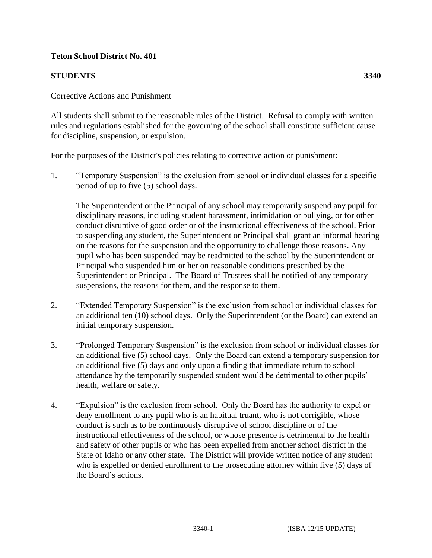## **Teton School District No. 401**

## **STUDENTS 3340**

All students shall submit to the reasonable rules of the District. Refusal to comply with written rules and regulations established for the governing of the school shall constitute sufficient cause for discipline, suspension, or expulsion.

For the purposes of the District's policies relating to corrective action or punishment:

1. "Temporary Suspension" is the exclusion from school or individual classes for a specific period of up to five (5) school days.

The Superintendent or the Principal of any school may temporarily suspend any pupil for disciplinary reasons, including student harassment, intimidation or bullying, or for other conduct disruptive of good order or of the instructional effectiveness of the school. Prior to suspending any student, the Superintendent or Principal shall grant an informal hearing on the reasons for the suspension and the opportunity to challenge those reasons. Any pupil who has been suspended may be readmitted to the school by the Superintendent or Principal who suspended him or her on reasonable conditions prescribed by the Superintendent or Principal. The Board of Trustees shall be notified of any temporary suspensions, the reasons for them, and the response to them.

- 2. "Extended Temporary Suspension" is the exclusion from school or individual classes for an additional ten (10) school days. Only the Superintendent (or the Board) can extend an initial temporary suspension.
- 3. "Prolonged Temporary Suspension" is the exclusion from school or individual classes for an additional five (5) school days. Only the Board can extend a temporary suspension for an additional five (5) days and only upon a finding that immediate return to school attendance by the temporarily suspended student would be detrimental to other pupils' health, welfare or safety.
- 4. "Expulsion" is the exclusion from school. Only the Board has the authority to expel or deny enrollment to any pupil who is an habitual truant, who is not corrigible, whose conduct is such as to be continuously disruptive of school discipline or of the instructional effectiveness of the school, or whose presence is detrimental to the health and safety of other pupils or who has been expelled from another school district in the State of Idaho or any other state. The District will provide written notice of any student who is expelled or denied enrollment to the prosecuting attorney within five (5) days of the Board's actions.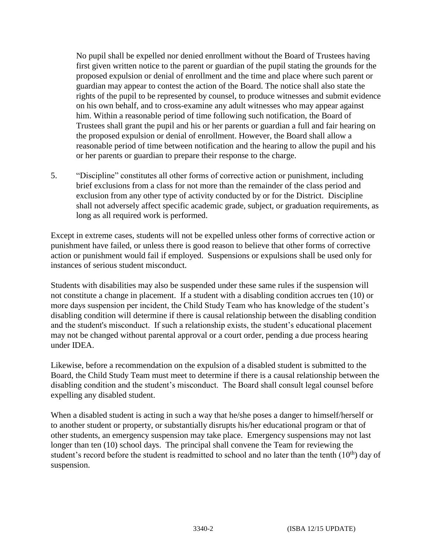No pupil shall be expelled nor denied enrollment without the Board of Trustees having first given written notice to the parent or guardian of the pupil stating the grounds for the proposed expulsion or denial of enrollment and the time and place where such parent or guardian may appear to contest the action of the Board. The notice shall also state the rights of the pupil to be represented by counsel, to produce witnesses and submit evidence on his own behalf, and to cross-examine any adult witnesses who may appear against him. Within a reasonable period of time following such notification, the Board of Trustees shall grant the pupil and his or her parents or guardian a full and fair hearing on the proposed expulsion or denial of enrollment. However, the Board shall allow a reasonable period of time between notification and the hearing to allow the pupil and his or her parents or guardian to prepare their response to the charge.

5. "Discipline" constitutes all other forms of corrective action or punishment, including brief exclusions from a class for not more than the remainder of the class period and exclusion from any other type of activity conducted by or for the District. Discipline shall not adversely affect specific academic grade, subject, or graduation requirements, as long as all required work is performed.

Except in extreme cases, students will not be expelled unless other forms of corrective action or punishment have failed, or unless there is good reason to believe that other forms of corrective action or punishment would fail if employed. Suspensions or expulsions shall be used only for instances of serious student misconduct.

Students with disabilities may also be suspended under these same rules if the suspension will not constitute a change in placement. If a student with a disabling condition accrues ten (10) or more days suspension per incident, the Child Study Team who has knowledge of the student's disabling condition will determine if there is causal relationship between the disabling condition and the student's misconduct. If such a relationship exists, the student's educational placement may not be changed without parental approval or a court order, pending a due process hearing under IDEA.

Likewise, before a recommendation on the expulsion of a disabled student is submitted to the Board, the Child Study Team must meet to determine if there is a causal relationship between the disabling condition and the student's misconduct. The Board shall consult legal counsel before expelling any disabled student.

When a disabled student is acting in such a way that he/she poses a danger to himself/herself or to another student or property, or substantially disrupts his/her educational program or that of other students, an emergency suspension may take place. Emergency suspensions may not last longer than ten (10) school days. The principal shall convene the Team for reviewing the student's record before the student is readmitted to school and no later than the tenth  $(10<sup>th</sup>)$  day of suspension.